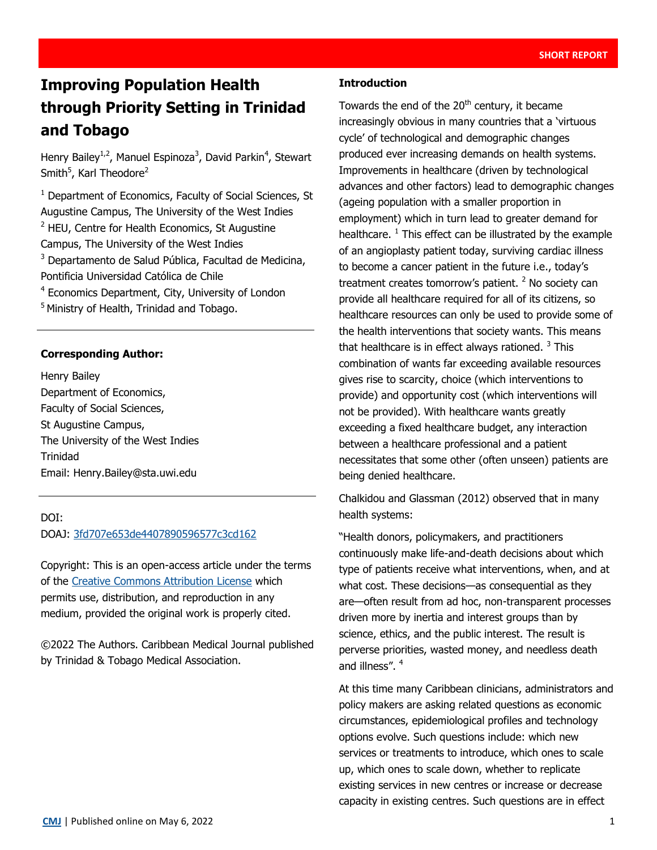# **Improving Population Health through Priority Setting in Trinidad and Tobago**

Henry Bailey<sup>1,2</sup>, Manuel Espinoza<sup>3</sup>, David Parkin<sup>4</sup>, Stewart Smith<sup>5</sup>, Karl Theodore<sup>2</sup>

<sup>1</sup> Department of Economics, Faculty of Social Sciences, St Augustine Campus, The University of the West Indies <sup>2</sup> HEU, Centre for Health Economics, St Augustine Campus, The University of the West Indies <sup>3</sup> Departamento de Salud Pública, Facultad de Medicina, Pontificia Universidad Católica de Chile <sup>4</sup> Economics Department, City, University of London <sup>5</sup> Ministry of Health, Trinidad and Tobago.

# **Corresponding Author:**

Henry Bailey Department of Economics, Faculty of Social Sciences, St Augustine Campus, The University of the West Indies Trinidad Email: Henry.Bailey@sta.uwi.edu

### DOI: DOAJ: [3fd707e653de4407890596577c3cd162](https://doaj.org/article/3fd707e653de4407890596577c3cd162)

Copyright: This is an open-access article under the terms of the [Creative Commons Attribution License](https://creativecommons.org/licenses/by/4.0/) which permits use, distribution, and reproduction in any medium, provided the original work is properly cited.

©2022 The Authors. Caribbean Medical Journal published by Trinidad & Tobago Medical Association.

#### **Introduction**

Towards the end of the 20<sup>th</sup> century, it became increasingly obvious in many countries that a 'virtuous cycle' of technological and demographic changes produced ever increasing demands on health systems. Improvements in healthcare (driven by technological advances and other factors) lead to demographic changes (ageing population with a smaller proportion in employment) which in turn lead to greater demand for healthcare.  $1$  This effect can be illustrated by the example of an angioplasty patient today, surviving cardiac illness to become a cancer patient in the future i.e., today's treatment creates tomorrow's patient.  $2$  No society can provide all healthcare required for all of its citizens, so healthcare resources can only be used to provide some of the health interventions that society wants. This means that healthcare is in effect always rationed.  $3$  This combination of wants far exceeding available resources gives rise to scarcity, choice (which interventions to provide) and opportunity cost (which interventions will not be provided). With healthcare wants greatly exceeding a fixed healthcare budget, any interaction between a healthcare professional and a patient necessitates that some other (often unseen) patients are being denied healthcare.

Chalkidou and Glassman (2012) observed that in many health systems:

"Health donors, policymakers, and practitioners continuously make life-and-death decisions about which type of patients receive what interventions, when, and at what cost. These decisions—as consequential as they are—often result from ad hoc, non-transparent processes driven more by inertia and interest groups than by science, ethics, and the public interest. The result is perverse priorities, wasted money, and needless death and illness". <sup>4</sup>

At this time many Caribbean clinicians, administrators and policy makers are asking related questions as economic circumstances, epidemiological profiles and technology options evolve. Such questions include: which new services or treatments to introduce, which ones to scale up, which ones to scale down, whether to replicate existing services in new centres or increase or decrease capacity in existing centres. Such questions are in effect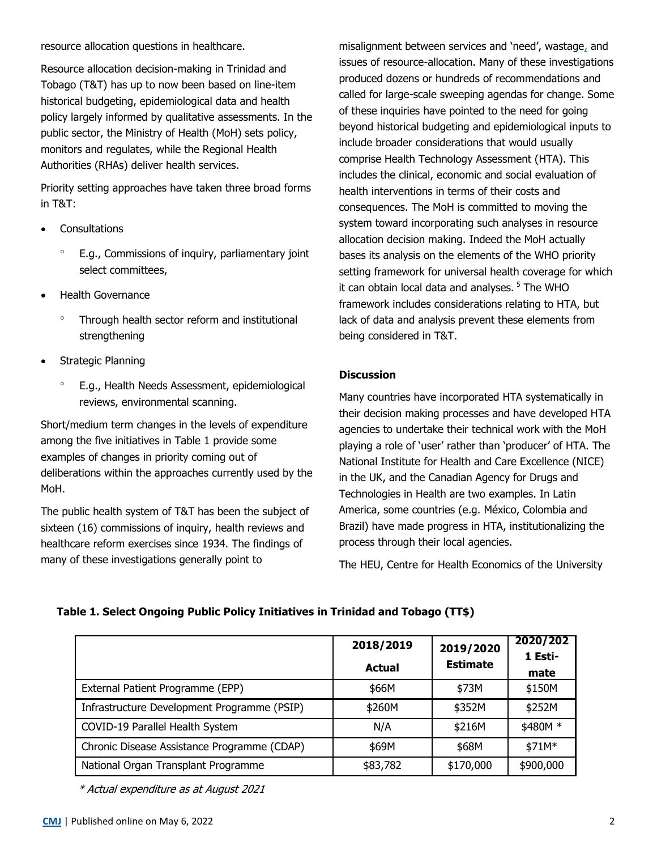resource allocation questions in healthcare.

Resource allocation decision-making in Trinidad and Tobago (T&T) has up to now been based on line-item historical budgeting, epidemiological data and health policy largely informed by qualitative assessments. In the public sector, the Ministry of Health (MoH) sets policy, monitors and regulates, while the Regional Health Authorities (RHAs) deliver health services.

Priority setting approaches have taken three broad forms in T&T:

- **Consultations** 
	- E.g., Commissions of inquiry, parliamentary joint select committees,
- Health Governance
	- Through health sector reform and institutional strengthening
- Strategic Planning
	- E.g., Health Needs Assessment, epidemiological reviews, environmental scanning.

Short/medium term changes in the levels of expenditure among the five initiatives in Table 1 provide some examples of changes in priority coming out of deliberations within the approaches currently used by the MoH.

The public health system of T&T has been the subject of sixteen (16) commissions of inquiry, health reviews and healthcare reform exercises since 1934. The findings of many of these investigations generally point to

misalignment between services and 'need', wastage, and issues of resource-allocation. Many of these investigations produced dozens or hundreds of recommendations and called for large-scale sweeping agendas for change. Some of these inquiries have pointed to the need for going beyond historical budgeting and epidemiological inputs to include broader considerations that would usually comprise Health Technology Assessment (HTA). This includes the clinical, economic and social evaluation of health interventions in terms of their costs and consequences. The MoH is committed to moving the system toward incorporating such analyses in resource allocation decision making. Indeed the MoH actually bases its analysis on the elements of the WHO priority setting framework for universal health coverage for which it can obtain local data and analyses.<sup>5</sup> The WHO framework includes considerations relating to HTA, but lack of data and analysis prevent these elements from being considered in T&T.

# **Discussion**

Many countries have incorporated HTA systematically in their decision making processes and have developed HTA agencies to undertake their technical work with the MoH playing a role of 'user' rather than 'producer' of HTA. The National Institute for Health and Care Excellence (NICE) in the UK, and the Canadian Agency for Drugs and Technologies in Health are two examples. In Latin America, some countries (e.g. México, Colombia and Brazil) have made progress in HTA, institutionalizing the process through their local agencies.

The HEU, Centre for Health Economics of the University

# **Table 1. Select Ongoing Public Policy Initiatives in Trinidad and Tobago (TT\$)**

|                                             | 2018/2019<br><b>Actual</b> | 2019/2020<br><b>Estimate</b> | 2020/202<br>1 Esti-<br>mate |
|---------------------------------------------|----------------------------|------------------------------|-----------------------------|
| External Patient Programme (EPP)            | \$66M                      | \$73M                        | \$150M                      |
| Infrastructure Development Programme (PSIP) | \$260M                     | \$352M                       | \$252M                      |
| COVID-19 Parallel Health System             | N/A                        | \$216M                       | \$480M *                    |
| Chronic Disease Assistance Programme (CDAP) | \$69M                      | \$68M                        | \$71M*                      |
| National Organ Transplant Programme         | \$83,782                   | \$170,000                    | \$900,000                   |

\* Actual expenditure as at August 2021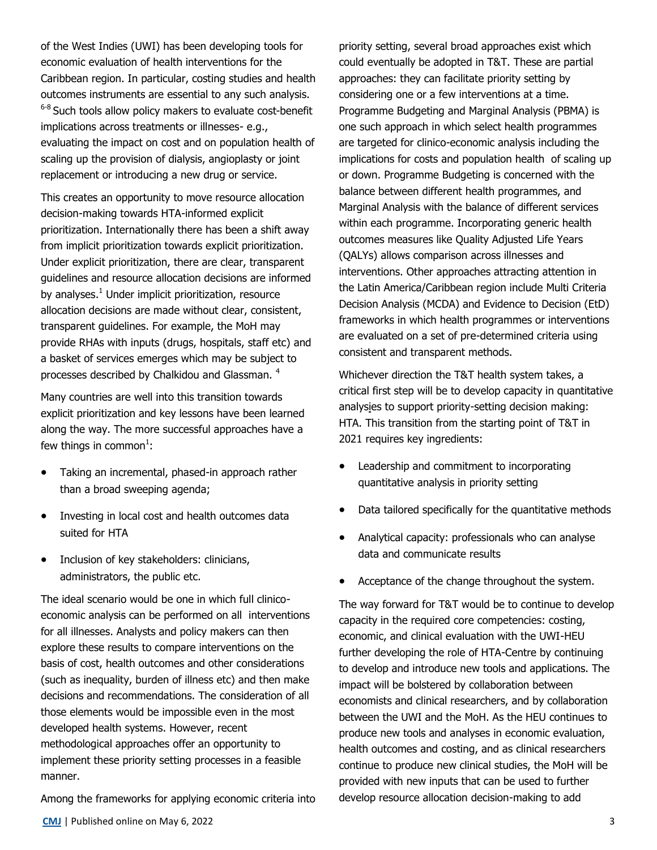of the West Indies (UWI) has been developing tools for economic evaluation of health interventions for the Caribbean region. In particular, costing studies and health outcomes instruments are essential to any such analysis.  $6-8$  Such tools allow policy makers to evaluate cost-benefit implications across treatments or illnesses- e.g., evaluating the impact on cost and on population health of scaling up the provision of dialysis, angioplasty or joint replacement or introducing a new drug or service.

This creates an opportunity to move resource allocation decision-making towards HTA-informed explicit prioritization. Internationally there has been a shift away from implicit prioritization towards explicit prioritization. Under explicit prioritization, there are clear, transparent guidelines and resource allocation decisions are informed by analyses. $1$  Under implicit prioritization, resource allocation decisions are made without clear, consistent, transparent guidelines. For example, the MoH may provide RHAs with inputs (drugs, hospitals, staff etc) and a basket of services emerges which may be subject to processes described by Chalkidou and Glassman. <sup>4</sup>

Many countries are well into this transition towards explicit prioritization and key lessons have been learned along the way. The more successful approaches have a few things in common<sup>1</sup>:

- Taking an incremental, phased-in approach rather than a broad sweeping agenda;
- Investing in local cost and health outcomes data suited for HTA
- Inclusion of key stakeholders: clinicians, administrators, the public etc.

The ideal scenario would be one in which full clinicoeconomic analysis can be performed on all interventions for all illnesses. Analysts and policy makers can then explore these results to compare interventions on the basis of cost, health outcomes and other considerations (such as inequality, burden of illness etc) and then make decisions and recommendations. The consideration of all those elements would be impossible even in the most developed health systems. However, recent methodological approaches offer an opportunity to implement these priority setting processes in a feasible manner.

Among the frameworks for applying economic criteria into

priority setting, several broad approaches exist which could eventually be adopted in T&T. These are partial approaches: they can facilitate priority setting by considering one or a few interventions at a time. Programme Budgeting and Marginal Analysis (PBMA) is one such approach in which select health programmes are targeted for clinico-economic analysis including the implications for costs and population health of scaling up or down. Programme Budgeting is concerned with the balance between different health programmes, and Marginal Analysis with the balance of different services within each programme. Incorporating generic health outcomes measures like Quality Adjusted Life Years (QALYs) allows comparison across illnesses and interventions. Other approaches attracting attention in the Latin America/Caribbean region include Multi Criteria Decision Analysis (MCDA) and Evidence to Decision (EtD) frameworks in which health programmes or interventions are evaluated on a set of pre-determined criteria using consistent and transparent methods.

Whichever direction the T&T health system takes, a critical first step will be to develop capacity in quantitative analysies to support priority-setting decision making: HTA. This transition from the starting point of T&T in 2021 requires key ingredients:

- Leadership and commitment to incorporating quantitative analysis in priority setting
- Data tailored specifically for the quantitative methods
- Analytical capacity: professionals who can analyse data and communicate results
- Acceptance of the change throughout the system.

The way forward for T&T would be to continue to develop capacity in the required core competencies: costing, economic, and clinical evaluation with the UWI-HEU further developing the role of HTA-Centre by continuing to develop and introduce new tools and applications. The impact will be bolstered by collaboration between economists and clinical researchers, and by collaboration between the UWI and the MoH. As the HEU continues to produce new tools and analyses in economic evaluation, health outcomes and costing, and as clinical researchers continue to produce new clinical studies, the MoH will be provided with new inputs that can be used to further develop resource allocation decision-making to add